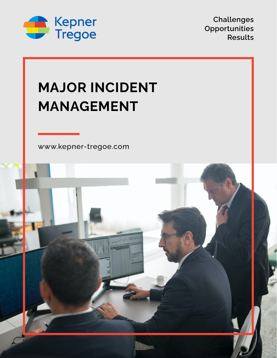

**Challenges Opportunities Results**

# **MAJOR INCIDENT MANAGEMENT**

[www.kepner-tregoe.com](http://www.kepner-tregoe.com)